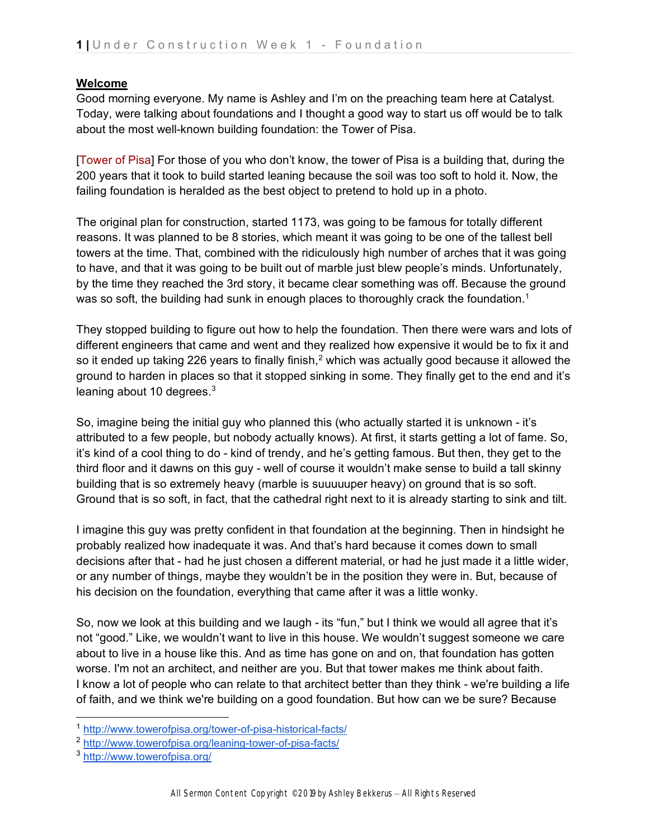# **Welcome**

Good morning everyone. My name is Ashley and I'm on the preaching team here at Catalyst. Today, were talking about foundations and I thought a good way to start us off would be to talk about the most well-known building foundation: the Tower of Pisa.

[Tower of Pisa] For those of you who don't know, the tower of Pisa is a building that, during the 200 years that it took to build started leaning because the soil was too soft to hold it. Now, the failing foundation is heralded as the best object to pretend to hold up in a photo.

The original plan for construction, started 1173, was going to be famous for totally different reasons. It was planned to be 8 stories, which meant it was going to be one of the tallest bell towers at the time. That, combined with the ridiculously high number of arches that it was going to have, and that it was going to be built out of marble just blew people's minds. Unfortunately, by the time they reached the 3rd story, it became clear something was off. Because the ground was so soft, the building had sunk in enough places to thoroughly crack the foundation.<sup>[1](#page-0-0)</sup>

They stopped building to figure out how to help the foundation. Then there were wars and lots of different engineers that came and went and they realized how expensive it would be to fix it and so it ended up taking [2](#page-0-1)26 years to finally finish,<sup>2</sup> which was actually good because it allowed the ground to harden in places so that it stopped sinking in some. They finally get to the end and it's leaning about 10 degrees. $3$ 

So, imagine being the initial guy who planned this (who actually started it is unknown - it's attributed to a few people, but nobody actually knows). At first, it starts getting a lot of fame. So, it's kind of a cool thing to do - kind of trendy, and he's getting famous. But then, they get to the third floor and it dawns on this guy - well of course it wouldn't make sense to build a tall skinny building that is so extremely heavy (marble is suuuuuper heavy) on ground that is so soft. Ground that is so soft, in fact, that the cathedral right next to it is already starting to sink and tilt.

I imagine this guy was pretty confident in that foundation at the beginning. Then in hindsight he probably realized how inadequate it was. And that's hard because it comes down to small decisions after that - had he just chosen a different material, or had he just made it a little wider, or any number of things, maybe they wouldn't be in the position they were in. But, because of his decision on the foundation, everything that came after it was a little wonky.

So, now we look at this building and we laugh - its "fun," but I think we would all agree that it's not "good." Like, we wouldn't want to live in this house. We wouldn't suggest someone we care about to live in a house like this. And as time has gone on and on, that foundation has gotten worse. I'm not an architect, and neither are you. But that tower makes me think about faith. I know a lot of people who can relate to that architect better than they think - we're building a life of faith, and we think we're building on a good foundation. But how can we be sure? Because

<span id="page-0-0"></span><sup>1</sup> <http://www.towerofpisa.org/tower-of-pisa-historical-facts/>

<span id="page-0-1"></span><sup>2</sup> <http://www.towerofpisa.org/leaning-tower-of-pisa-facts/>

<span id="page-0-2"></span><sup>3</sup> <http://www.towerofpisa.org/>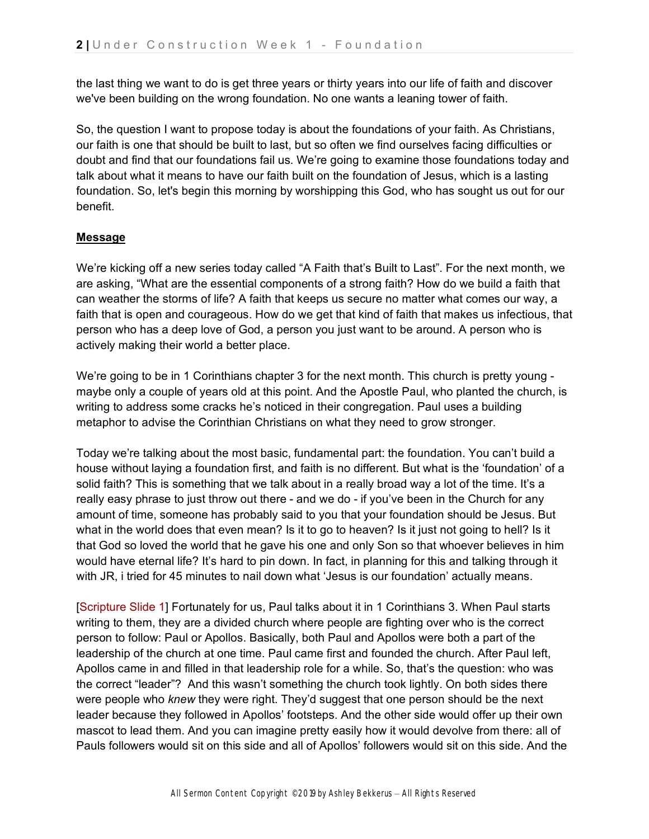the last thing we want to do is get three years or thirty years into our life of faith and discover we've been building on the wrong foundation. No one wants a leaning tower of faith.

So, the question I want to propose today is about the foundations of your faith. As Christians, our faith is one that should be built to last, but so often we find ourselves facing difficulties or doubt and find that our foundations fail us. We're going to examine those foundations today and talk about what it means to have our faith built on the foundation of Jesus, which is a lasting foundation. So, let's begin this morning by worshipping this God, who has sought us out for our benefit.

# **Message**

We're kicking off a new series today called "A Faith that's Built to Last". For the next month, we are asking, "What are the essential components of a strong faith? How do we build a faith that can weather the storms of life? A faith that keeps us secure no matter what comes our way, a faith that is open and courageous. How do we get that kind of faith that makes us infectious, that person who has a deep love of God, a person you just want to be around. A person who is actively making their world a better place.

We're going to be in 1 Corinthians chapter 3 for the next month. This church is pretty young maybe only a couple of years old at this point. And the Apostle Paul, who planted the church, is writing to address some cracks he's noticed in their congregation. Paul uses a building metaphor to advise the Corinthian Christians on what they need to grow stronger.

Today we're talking about the most basic, fundamental part: the foundation. You can't build a house without laying a foundation first, and faith is no different. But what is the 'foundation' of a solid faith? This is something that we talk about in a really broad way a lot of the time. It's a really easy phrase to just throw out there - and we do - if you've been in the Church for any amount of time, someone has probably said to you that your foundation should be Jesus. But what in the world does that even mean? Is it to go to heaven? Is it just not going to hell? Is it that God so loved the world that he gave his one and only Son so that whoever believes in him would have eternal life? It's hard to pin down. In fact, in planning for this and talking through it with JR, i tried for 45 minutes to nail down what 'Jesus is our foundation' actually means.

[Scripture Slide 1] Fortunately for us, Paul talks about it in 1 Corinthians 3. When Paul starts writing to them, they are a divided church where people are fighting over who is the correct person to follow: Paul or Apollos. Basically, both Paul and Apollos were both a part of the leadership of the church at one time. Paul came first and founded the church. After Paul left, Apollos came in and filled in that leadership role for a while. So, that's the question: who was the correct "leader"? And this wasn't something the church took lightly. On both sides there were people who *knew* they were right. They'd suggest that one person should be the next leader because they followed in Apollos' footsteps. And the other side would offer up their own mascot to lead them. And you can imagine pretty easily how it would devolve from there: all of Pauls followers would sit on this side and all of Apollos' followers would sit on this side. And the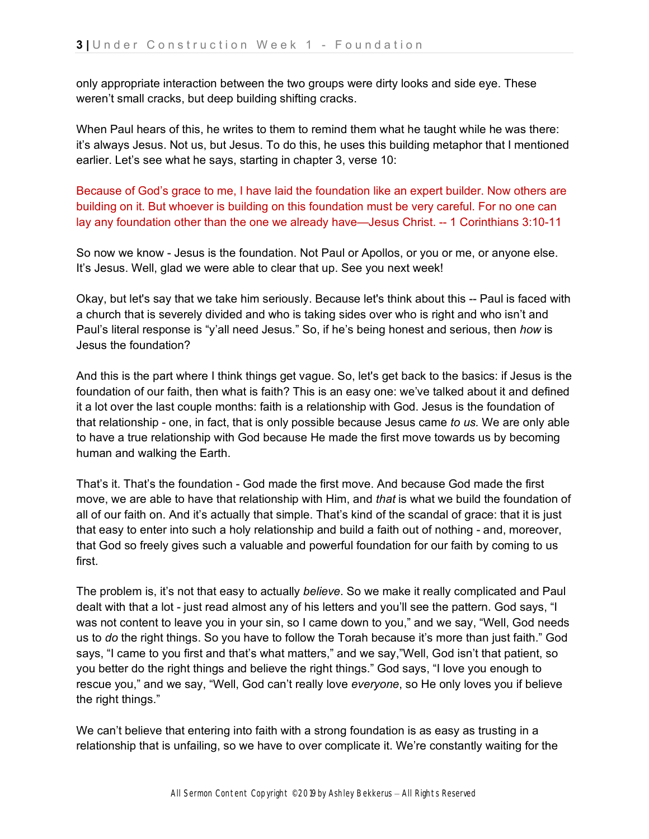only appropriate interaction between the two groups were dirty looks and side eye. These weren't small cracks, but deep building shifting cracks.

When Paul hears of this, he writes to them to remind them what he taught while he was there: it's always Jesus. Not us, but Jesus. To do this, he uses this building metaphor that I mentioned earlier. Let's see what he says, starting in chapter 3, verse 10:

Because of God's grace to me, I have laid the foundation like an expert builder. Now others are building on it. But whoever is building on this foundation must be very careful. For no one can lay any foundation other than the one we already have—Jesus Christ. -- 1 Corinthians 3:10-11

So now we know - Jesus is the foundation. Not Paul or Apollos, or you or me, or anyone else. It's Jesus. Well, glad we were able to clear that up. See you next week!

Okay, but let's say that we take him seriously. Because let's think about this -- Paul is faced with a church that is severely divided and who is taking sides over who is right and who isn't and Paul's literal response is "y'all need Jesus." So, if he's being honest and serious, then *how* is Jesus the foundation?

And this is the part where I think things get vague. So, let's get back to the basics: if Jesus is the foundation of our faith, then what is faith? This is an easy one: we've talked about it and defined it a lot over the last couple months: faith is a relationship with God. Jesus is the foundation of that relationship - one, in fact, that is only possible because Jesus came *to us.* We are only able to have a true relationship with God because He made the first move towards us by becoming human and walking the Earth.

That's it. That's the foundation - God made the first move. And because God made the first move, we are able to have that relationship with Him, and *that* is what we build the foundation of all of our faith on. And it's actually that simple. That's kind of the scandal of grace: that it is just that easy to enter into such a holy relationship and build a faith out of nothing - and, moreover, that God so freely gives such a valuable and powerful foundation for our faith by coming to us first.

The problem is, it's not that easy to actually *believe*. So we make it really complicated and Paul dealt with that a lot - just read almost any of his letters and you'll see the pattern. God says, "I was not content to leave you in your sin, so I came down to you," and we say, "Well, God needs us to *do* the right things. So you have to follow the Torah because it's more than just faith." God says, "I came to you first and that's what matters," and we say,"Well, God isn't that patient, so you better do the right things and believe the right things." God says, "I love you enough to rescue you," and we say, "Well, God can't really love *everyone*, so He only loves you if believe the right things."

We can't believe that entering into faith with a strong foundation is as easy as trusting in a relationship that is unfailing, so we have to over complicate it. We're constantly waiting for the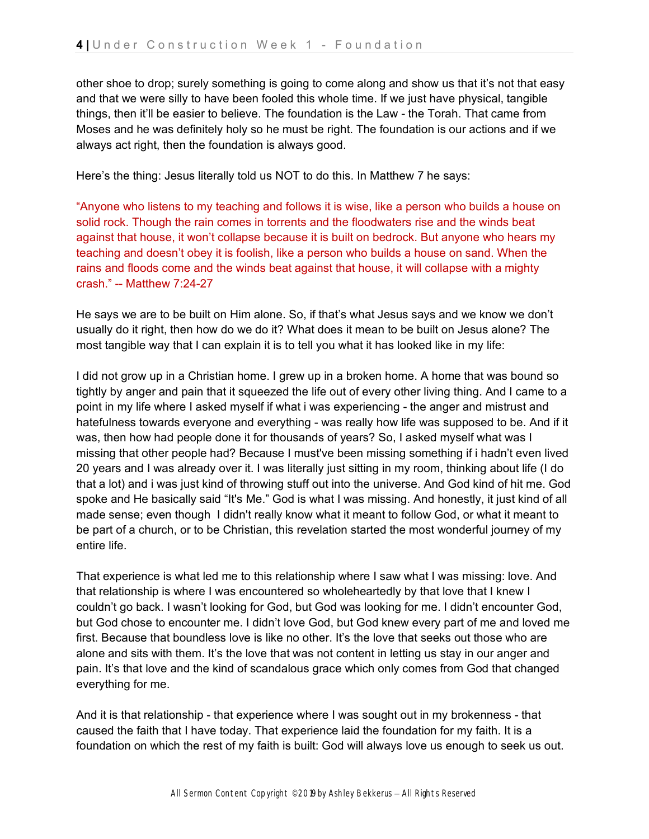other shoe to drop; surely something is going to come along and show us that it's not that easy and that we were silly to have been fooled this whole time. If we just have physical, tangible things, then it'll be easier to believe. The foundation is the Law - the Torah. That came from Moses and he was definitely holy so he must be right. The foundation is our actions and if we always act right, then the foundation is always good.

Here's the thing: Jesus literally told us NOT to do this. In Matthew 7 he says:

"Anyone who listens to my teaching and follows it is wise, like a person who builds a house on solid rock. Though the rain comes in torrents and the floodwaters rise and the winds beat against that house, it won't collapse because it is built on bedrock. But anyone who hears my teaching and doesn't obey it is foolish, like a person who builds a house on sand. When the rains and floods come and the winds beat against that house, it will collapse with a mighty crash." -- Matthew 7:24-27

He says we are to be built on Him alone. So, if that's what Jesus says and we know we don't usually do it right, then how do we do it? What does it mean to be built on Jesus alone? The most tangible way that I can explain it is to tell you what it has looked like in my life:

I did not grow up in a Christian home. I grew up in a broken home. A home that was bound so tightly by anger and pain that it squeezed the life out of every other living thing. And I came to a point in my life where I asked myself if what i was experiencing - the anger and mistrust and hatefulness towards everyone and everything - was really how life was supposed to be. And if it was, then how had people done it for thousands of years? So, I asked myself what was I missing that other people had? Because I must've been missing something if i hadn't even lived 20 years and I was already over it. I was literally just sitting in my room, thinking about life (I do that a lot) and i was just kind of throwing stuff out into the universe. And God kind of hit me. God spoke and He basically said "It's Me." God is what I was missing. And honestly, it just kind of all made sense; even though I didn't really know what it meant to follow God, or what it meant to be part of a church, or to be Christian, this revelation started the most wonderful journey of my entire life.

That experience is what led me to this relationship where I saw what I was missing: love. And that relationship is where I was encountered so wholeheartedly by that love that I knew I couldn't go back. I wasn't looking for God, but God was looking for me. I didn't encounter God, but God chose to encounter me. I didn't love God, but God knew every part of me and loved me first. Because that boundless love is like no other. It's the love that seeks out those who are alone and sits with them. It's the love that was not content in letting us stay in our anger and pain. It's that love and the kind of scandalous grace which only comes from God that changed everything for me.

And it is that relationship - that experience where I was sought out in my brokenness - that caused the faith that I have today. That experience laid the foundation for my faith. It is a foundation on which the rest of my faith is built: God will always love us enough to seek us out.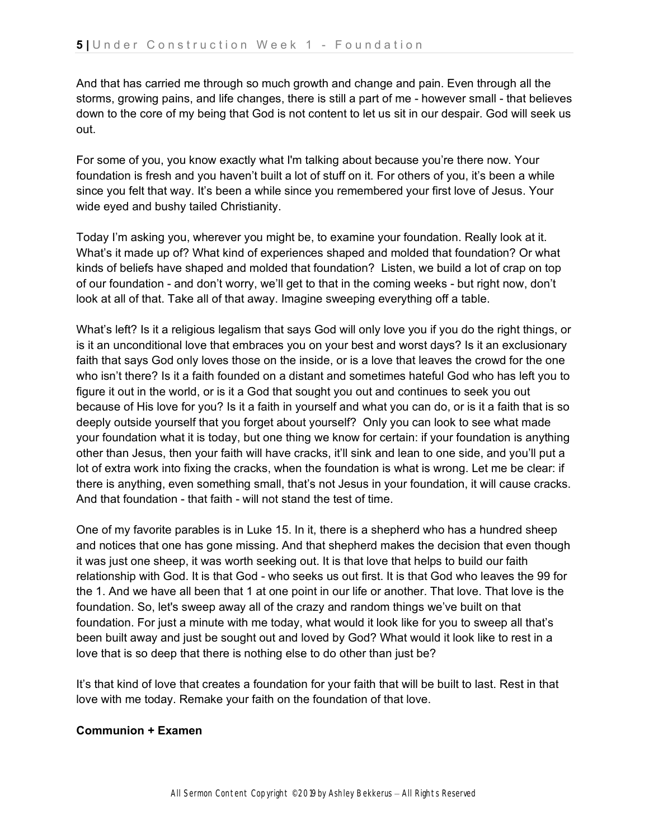And that has carried me through so much growth and change and pain. Even through all the storms, growing pains, and life changes, there is still a part of me - however small - that believes down to the core of my being that God is not content to let us sit in our despair. God will seek us out.

For some of you, you know exactly what I'm talking about because you're there now. Your foundation is fresh and you haven't built a lot of stuff on it. For others of you, it's been a while since you felt that way. It's been a while since you remembered your first love of Jesus. Your wide eyed and bushy tailed Christianity.

Today I'm asking you, wherever you might be, to examine your foundation. Really look at it. What's it made up of? What kind of experiences shaped and molded that foundation? Or what kinds of beliefs have shaped and molded that foundation? Listen, we build a lot of crap on top of our foundation - and don't worry, we'll get to that in the coming weeks - but right now, don't look at all of that. Take all of that away. Imagine sweeping everything off a table.

What's left? Is it a religious legalism that says God will only love you if you do the right things, or is it an unconditional love that embraces you on your best and worst days? Is it an exclusionary faith that says God only loves those on the inside, or is a love that leaves the crowd for the one who isn't there? Is it a faith founded on a distant and sometimes hateful God who has left you to figure it out in the world, or is it a God that sought you out and continues to seek you out because of His love for you? Is it a faith in yourself and what you can do, or is it a faith that is so deeply outside yourself that you forget about yourself? Only you can look to see what made your foundation what it is today, but one thing we know for certain: if your foundation is anything other than Jesus, then your faith will have cracks, it'll sink and lean to one side, and you'll put a lot of extra work into fixing the cracks, when the foundation is what is wrong. Let me be clear: if there is anything, even something small, that's not Jesus in your foundation, it will cause cracks. And that foundation - that faith - will not stand the test of time.

One of my favorite parables is in Luke 15. In it, there is a shepherd who has a hundred sheep and notices that one has gone missing. And that shepherd makes the decision that even though it was just one sheep, it was worth seeking out. It is that love that helps to build our faith relationship with God. It is that God - who seeks us out first. It is that God who leaves the 99 for the 1. And we have all been that 1 at one point in our life or another. That love. That love is the foundation. So, let's sweep away all of the crazy and random things we've built on that foundation. For just a minute with me today, what would it look like for you to sweep all that's been built away and just be sought out and loved by God? What would it look like to rest in a love that is so deep that there is nothing else to do other than just be?

It's that kind of love that creates a foundation for your faith that will be built to last. Rest in that love with me today. Remake your faith on the foundation of that love.

# **Communion + Examen**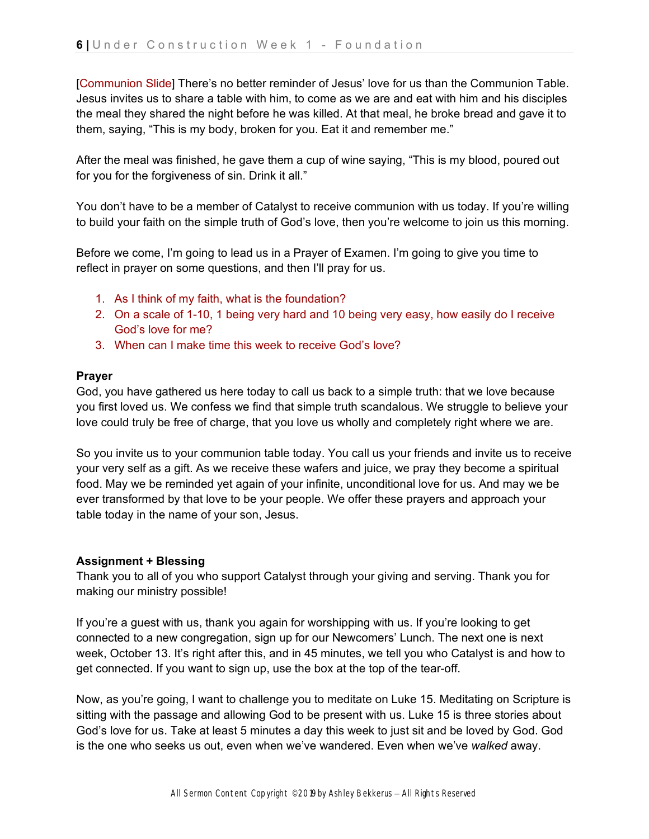[Communion Slide] There's no better reminder of Jesus' love for us than the Communion Table. Jesus invites us to share a table with him, to come as we are and eat with him and his disciples the meal they shared the night before he was killed. At that meal, he broke bread and gave it to them, saying, "This is my body, broken for you. Eat it and remember me."

After the meal was finished, he gave them a cup of wine saying, "This is my blood, poured out for you for the forgiveness of sin. Drink it all."

You don't have to be a member of Catalyst to receive communion with us today. If you're willing to build your faith on the simple truth of God's love, then you're welcome to join us this morning.

Before we come, I'm going to lead us in a Prayer of Examen. I'm going to give you time to reflect in prayer on some questions, and then I'll pray for us.

- 1. As I think of my faith, what is the foundation?
- 2. On a scale of 1-10, 1 being very hard and 10 being very easy, how easily do I receive God's love for me?
- 3. When can I make time this week to receive God's love?

# **Prayer**

God, you have gathered us here today to call us back to a simple truth: that we love because you first loved us. We confess we find that simple truth scandalous. We struggle to believe your love could truly be free of charge, that you love us wholly and completely right where we are.

So you invite us to your communion table today. You call us your friends and invite us to receive your very self as a gift. As we receive these wafers and juice, we pray they become a spiritual food. May we be reminded yet again of your infinite, unconditional love for us. And may we be ever transformed by that love to be your people. We offer these prayers and approach your table today in the name of your son, Jesus.

# **Assignment + Blessing**

Thank you to all of you who support Catalyst through your giving and serving. Thank you for making our ministry possible!

If you're a guest with us, thank you again for worshipping with us. If you're looking to get connected to a new congregation, sign up for our Newcomers' Lunch. The next one is next week, October 13. It's right after this, and in 45 minutes, we tell you who Catalyst is and how to get connected. If you want to sign up, use the box at the top of the tear-off.

Now, as you're going, I want to challenge you to meditate on Luke 15. Meditating on Scripture is sitting with the passage and allowing God to be present with us. Luke 15 is three stories about God's love for us. Take at least 5 minutes a day this week to just sit and be loved by God. God is the one who seeks us out, even when we've wandered. Even when we've *walked* away.